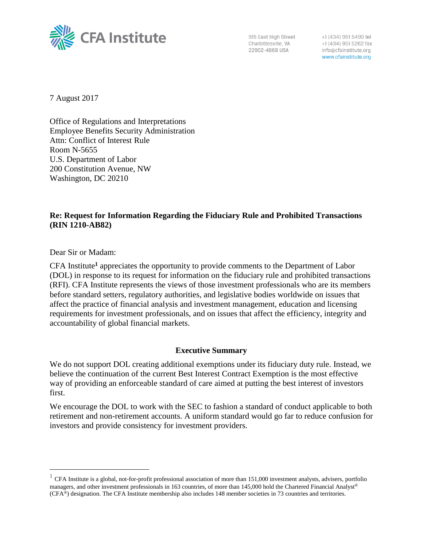

915 East High Street Charlottesville, VA 22902-4868 USA

+1 (434) 951 5499 tel +1 (434) 951 5262 fax info@cfainstitute.org www.cfainstitute.org

7 August 2017

Office of Regulations and Interpretations Employee Benefits Security Administration Attn: Conflict of Interest Rule Room N-5655 U.S. Department of Labor 200 Constitution Avenue, NW Washington, DC 20210

## **Re: Request for Information Regarding the Fiduciary Rule and Prohibited Transactions (RIN 1210-AB82)**

Dear Sir or Madam:

 $\overline{a}$ 

CFA Institute**<sup>1</sup>** appreciates the opportunity to provide comments to the Department of Labor (DOL) in response to its request for information on the fiduciary rule and prohibited transactions (RFI). CFA Institute represents the views of those investment professionals who are its members before standard setters, regulatory authorities, and legislative bodies worldwide on issues that affect the practice of financial analysis and investment management, education and licensing requirements for investment professionals, and on issues that affect the efficiency, integrity and accountability of global financial markets.

## **Executive Summary**

We do not support DOL creating additional exemptions under its fiduciary duty rule. Instead, we believe the continuation of the current Best Interest Contract Exemption is the most effective way of providing an enforceable standard of care aimed at putting the best interest of investors first.

We encourage the DOL to work with the SEC to fashion a standard of conduct applicable to both retirement and non-retirement accounts. A uniform standard would go far to reduce confusion for investors and provide consistency for investment providers.

<sup>&</sup>lt;sup>1</sup> CFA Institute is a global, not-for-profit professional association of more than 151,000 investment analysts, advisers, portfolio managers, and other investment professionals in 163 countries, of more than 145,000 hold the Chartered Financial Analyst® (CFA®) designation. The CFA Institute membership also includes 148 member societies in 73 countries and territories.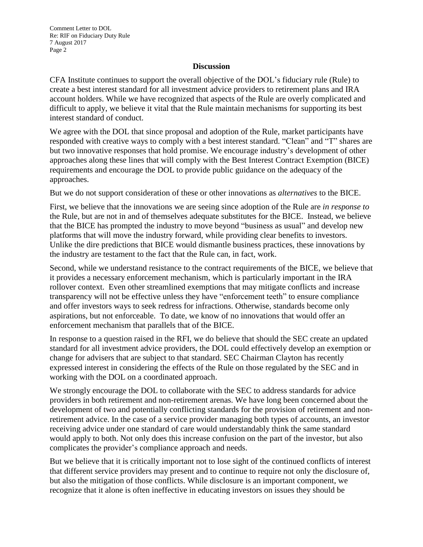## **Discussion**

CFA Institute continues to support the overall objective of the DOL's fiduciary rule (Rule) to create a best interest standard for all investment advice providers to retirement plans and IRA account holders. While we have recognized that aspects of the Rule are overly complicated and difficult to apply, we believe it vital that the Rule maintain mechanisms for supporting its best interest standard of conduct.

We agree with the DOL that since proposal and adoption of the Rule, market participants have responded with creative ways to comply with a best interest standard. "Clean" and "T" shares are but two innovative responses that hold promise. We encourage industry's development of other approaches along these lines that will comply with the Best Interest Contract Exemption (BICE) requirements and encourage the DOL to provide public guidance on the adequacy of the approaches.

But we do not support consideration of these or other innovations as *alternatives* to the BICE.

First, we believe that the innovations we are seeing since adoption of the Rule are *in response to* the Rule, but are not in and of themselves adequate substitutes for the BICE. Instead, we believe that the BICE has prompted the industry to move beyond "business as usual" and develop new platforms that will move the industry forward, while providing clear benefits to investors. Unlike the dire predictions that BICE would dismantle business practices, these innovations by the industry are testament to the fact that the Rule can, in fact, work.

Second, while we understand resistance to the contract requirements of the BICE, we believe that it provides a necessary enforcement mechanism, which is particularly important in the IRA rollover context. Even other streamlined exemptions that may mitigate conflicts and increase transparency will not be effective unless they have "enforcement teeth" to ensure compliance and offer investors ways to seek redress for infractions. Otherwise, standards become only aspirations, but not enforceable. To date, we know of no innovations that would offer an enforcement mechanism that parallels that of the BICE.

In response to a question raised in the RFI, we do believe that should the SEC create an updated standard for all investment advice providers, the DOL could effectively develop an exemption or change for advisers that are subject to that standard. SEC Chairman Clayton has recently expressed interest in considering the effects of the Rule on those regulated by the SEC and in working with the DOL on a coordinated approach.

We strongly encourage the DOL to collaborate with the SEC to address standards for advice providers in both retirement and non-retirement arenas. We have long been concerned about the development of two and potentially conflicting standards for the provision of retirement and nonretirement advice. In the case of a service provider managing both types of accounts, an investor receiving advice under one standard of care would understandably think the same standard would apply to both. Not only does this increase confusion on the part of the investor, but also complicates the provider's compliance approach and needs.

But we believe that it is critically important not to lose sight of the continued conflicts of interest that different service providers may present and to continue to require not only the disclosure of, but also the mitigation of those conflicts. While disclosure is an important component, we recognize that it alone is often ineffective in educating investors on issues they should be